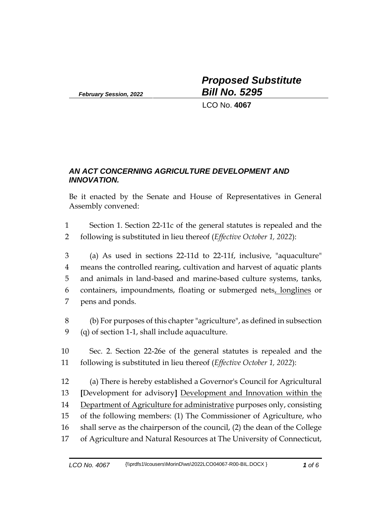*February Session, 2022*

*Proposed Substitute Bill No. 5295*

LCO No. **4067**

## *AN ACT CONCERNING AGRICULTURE DEVELOPMENT AND INNOVATION.*

Be it enacted by the Senate and House of Representatives in General Assembly convened:

- 1 Section 1. Section 22-11c of the general statutes is repealed and the 2 following is substituted in lieu thereof (*Effective October 1, 2022*):
- 3 (a) As used in sections 22-11d to 22-11f, inclusive, "aquaculture" 4 means the controlled rearing, cultivation and harvest of aquatic plants 5 and animals in land-based and marine-based culture systems, tanks, 6 containers, impoundments, floating or submerged nets, longlines or 7 pens and ponds.
- 8 (b) For purposes of this chapter "agriculture", as defined in subsection 9 (q) of section 1-1, shall include aquaculture.
- 10 Sec. 2. Section 22-26e of the general statutes is repealed and the 11 following is substituted in lieu thereof (*Effective October 1, 2022*):
- 12 (a) There is hereby established a Governor's Council for Agricultural 13 **[**Development for advisory**]** Development and Innovation within the 14 Department of Agriculture for administrative purposes only, consisting 15 of the following members: (1) The Commissioner of Agriculture, who 16 shall serve as the chairperson of the council, (2) the dean of the College 17 of Agriculture and Natural Resources at The University of Connecticut,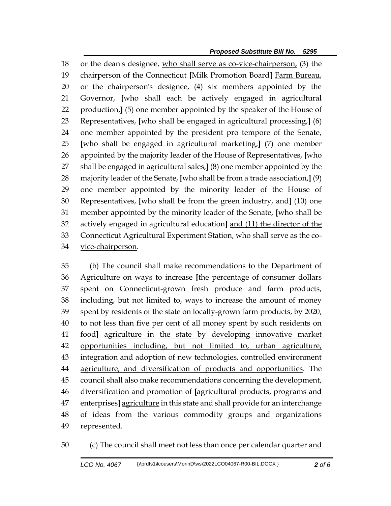*Proposed Substitute Bill No. 5295*

 or the dean's designee, who shall serve as co-vice-chairperson, (3) the chairperson of the Connecticut **[**Milk Promotion Board**]** Farm Bureau, or the chairperson's designee, (4) six members appointed by the Governor, **[**who shall each be actively engaged in agricultural production,**]** (5) one member appointed by the speaker of the House of Representatives, **[**who shall be engaged in agricultural processing,**]** (6) one member appointed by the president pro tempore of the Senate, **[**who shall be engaged in agricultural marketing,**]** (7) one member appointed by the majority leader of the House of Representatives, **[**who shall be engaged in agricultural sales,**]** (8) one member appointed by the majority leader of the Senate, **[**who shall be from a trade association,**]** (9) one member appointed by the minority leader of the House of Representatives, **[**who shall be from the green industry, and**]** (10) one member appointed by the minority leader of the Senate, **[**who shall be actively engaged in agricultural education**]** and (11) the director of the Connecticut Agricultural Experiment Station, who shall serve as the co-vice-chairperson.

 (b) The council shall make recommendations to the Department of Agriculture on ways to increase **[**the percentage of consumer dollars spent on Connecticut-grown fresh produce and farm products, including, but not limited to, ways to increase the amount of money spent by residents of the state on locally-grown farm products, by 2020, to not less than five per cent of all money spent by such residents on food**]** agriculture in the state by developing innovative market opportunities including, but not limited to, urban agriculture, 43 integration and adoption of new technologies, controlled environment agriculture, and diversification of products and opportunities. The council shall also make recommendations concerning the development, diversification and promotion of **[**agricultural products, programs and enterprises**]** agriculture in this state and shall provide for an interchange of ideas from the various commodity groups and organizations represented.

50 (c) The council shall meet not less than once per calendar quarter and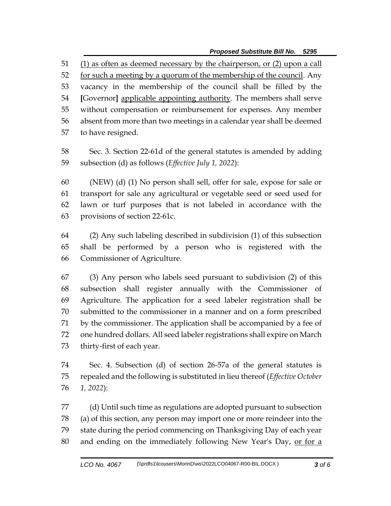*Proposed Substitute Bill No. 5295*

 (1) as often as deemed necessary by the chairperson, or (2) upon a call 52 for such a meeting by a quorum of the membership of the council. Any vacancy in the membership of the council shall be filled by the **[**Governor**]** applicable appointing authority. The members shall serve without compensation or reimbursement for expenses. Any member absent from more than two meetings in a calendar year shall be deemed to have resigned.

 Sec. 3. Section 22-61d of the general statutes is amended by adding subsection (d) as follows (*Effective July 1, 2022*):

 (NEW) (d) (1) No person shall sell, offer for sale, expose for sale or transport for sale any agricultural or vegetable seed or seed used for lawn or turf purposes that is not labeled in accordance with the provisions of section 22-61c.

 (2) Any such labeling described in subdivision (1) of this subsection shall be performed by a person who is registered with the Commissioner of Agriculture.

 (3) Any person who labels seed pursuant to subdivision (2) of this subsection shall register annually with the Commissioner of Agriculture. The application for a seed labeler registration shall be submitted to the commissioner in a manner and on a form prescribed by the commissioner. The application shall be accompanied by a fee of one hundred dollars. All seed labeler registrations shall expire on March thirty-first of each year.

 Sec. 4. Subsection (d) of section 26-57a of the general statutes is repealed and the following is substituted in lieu thereof (*Effective October 1, 2022*):

 (d) Until such time as regulations are adopted pursuant to subsection (a) of this section, any person may import one or more reindeer into the state during the period commencing on Thanksgiving Day of each year 80 and ending on the immediately following New Year's Day, or for a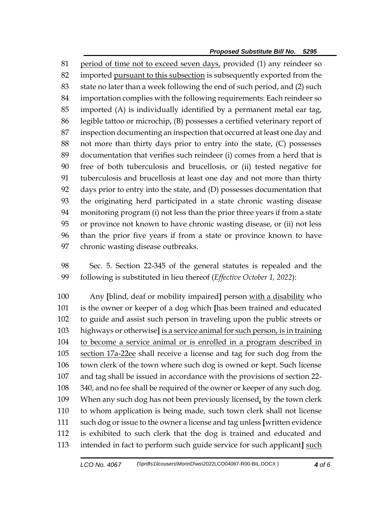period of time not to exceed seven days, provided (1) any reindeer so imported pursuant to this subsection is subsequently exported from the state no later than a week following the end of such period, and (2) such importation complies with the following requirements: Each reindeer so imported (A) is individually identified by a permanent metal ear tag, legible tattoo or microchip, (B) possesses a certified veterinary report of inspection documenting an inspection that occurred at least one day and not more than thirty days prior to entry into the state, (C) possesses documentation that verifies such reindeer (i) comes from a herd that is free of both tuberculosis and brucellosis, or (ii) tested negative for tuberculosis and brucellosis at least one day and not more than thirty days prior to entry into the state, and (D) possesses documentation that the originating herd participated in a state chronic wasting disease monitoring program (i) not less than the prior three years if from a state or province not known to have chronic wasting disease, or (ii) not less than the prior five years if from a state or province known to have chronic wasting disease outbreaks.

 Sec. 5. Section 22-345 of the general statutes is repealed and the following is substituted in lieu thereof (*Effective October 1, 2022*):

 Any **[**blind, deaf or mobility impaired**]** person with a disability who is the owner or keeper of a dog which **[**has been trained and educated to guide and assist such person in traveling upon the public streets or highways or otherwise**]** is a service animal for such person, is in training to become a service animal or is enrolled in a program described in 105 section 17a-22ee shall receive a license and tag for such dog from the town clerk of the town where such dog is owned or kept. Such license and tag shall be issued in accordance with the provisions of section 22- 340, and no fee shall be required of the owner or keeper of any such dog. When any such dog has not been previously licensed, by the town clerk to whom application is being made, such town clerk shall not license such dog or issue to the owner a license and tag unless **[**written evidence is exhibited to such clerk that the dog is trained and educated and intended in fact to perform such guide service for such applicant**]** such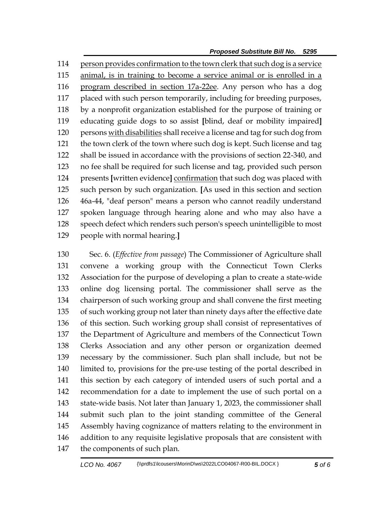*Proposed Substitute Bill No. 5295*

 person provides confirmation to the town clerk that such dog is a service animal, is in training to become a service animal or is enrolled in a program described in section 17a-22ee. Any person who has a dog placed with such person temporarily, including for breeding purposes, by a nonprofit organization established for the purpose of training or educating guide dogs to so assist **[**blind, deaf or mobility impaired**]** 120 persons with disabilities shall receive a license and tag for such dog from the town clerk of the town where such dog is kept. Such license and tag shall be issued in accordance with the provisions of section 22-340, and no fee shall be required for such license and tag, provided such person presents **[**written evidence**]** confirmation that such dog was placed with such person by such organization. **[**As used in this section and section 46a-44, "deaf person" means a person who cannot readily understand spoken language through hearing alone and who may also have a speech defect which renders such person's speech unintelligible to most people with normal hearing.**]**

 Sec. 6. (*Effective from passage*) The Commissioner of Agriculture shall convene a working group with the Connecticut Town Clerks Association for the purpose of developing a plan to create a state-wide online dog licensing portal. The commissioner shall serve as the chairperson of such working group and shall convene the first meeting of such working group not later than ninety days after the effective date of this section. Such working group shall consist of representatives of the Department of Agriculture and members of the Connecticut Town Clerks Association and any other person or organization deemed necessary by the commissioner. Such plan shall include, but not be limited to, provisions for the pre-use testing of the portal described in this section by each category of intended users of such portal and a recommendation for a date to implement the use of such portal on a state-wide basis. Not later than January 1, 2023, the commissioner shall submit such plan to the joint standing committee of the General Assembly having cognizance of matters relating to the environment in addition to any requisite legislative proposals that are consistent with the components of such plan.